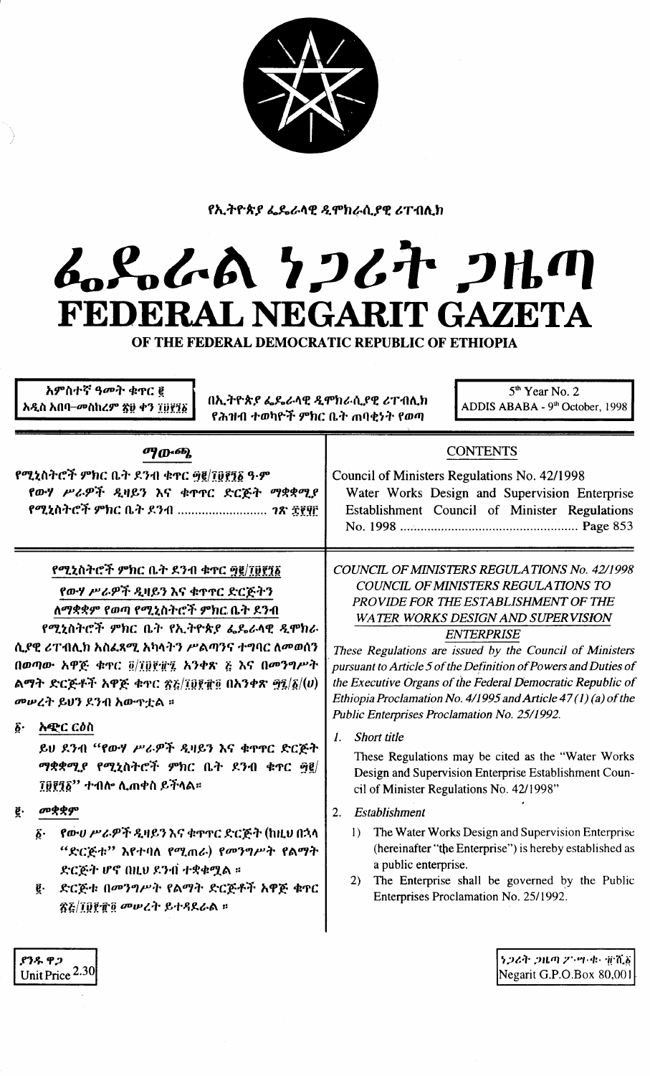የኢትዮጵያ ፌዴራላዊ ዲሞክራሲያዊ ሪፐብሊክ

## んらんあ クンムヤ フルの FEDERAL NEGARIT GAZETA OF THE FEDERAL DEMOCRATIC REPUBLIC OF ETHIOPIA

| አምስተኛ ዓመት ቁ <b>ኖር</b> ፪<br>$5th$ Year No. 2<br>በኢትዮጵያ ፌዴራላዊ ዲሞክራሲያዊ ሪፐብሊክ<br>ADDIS ABABA - 9th October, 1998<br>አዲስ አበባ–መስከረም ጽ፱ ቀን ፲፱፻፺፩<br>የሕዝብ ተወካዮች ምክር ቤት ጠባቂነት የወጣ                                                                                                                                                                                                                                                                                                                                                                                                                                                |                                                                                                                                                                                                                                                                                                                                                                                                                                                                                                                                                                                                                                                                                                                                                                                                                                                                                                                                                                                 |  |
|-------------------------------------------------------------------------------------------------------------------------------------------------------------------------------------------------------------------------------------------------------------------------------------------------------------------------------------------------------------------------------------------------------------------------------------------------------------------------------------------------------------------------------------------------------------------------------------------------------------------------|---------------------------------------------------------------------------------------------------------------------------------------------------------------------------------------------------------------------------------------------------------------------------------------------------------------------------------------------------------------------------------------------------------------------------------------------------------------------------------------------------------------------------------------------------------------------------------------------------------------------------------------------------------------------------------------------------------------------------------------------------------------------------------------------------------------------------------------------------------------------------------------------------------------------------------------------------------------------------------|--|
| <b>ማውጫ</b><br>የሚኒስትሮች ምክር ቤት ደንብ ቁዋር <u>፵፪/፲፱፻</u> ፺፩ ዓ·ም<br>የውሃ ሥራዎች ዲዛይን እና ቁጥፐር ድርጅት ማቋቋሚያ<br>የሚኒስትሮች ምክር ቤት ደንብ <i>ገጽ ፰፻</i> ፶፫                                                                                                                                                                                                                                                                                                                                                                                                                                                                                     | <b>CONTENTS</b><br>Council of Ministers Regulations No. 42/1998<br>Water Works Design and Supervision Enterprise<br>Establishment Council of Minister Regulations                                                                                                                                                                                                                                                                                                                                                                                                                                                                                                                                                                                                                                                                                                                                                                                                               |  |
| የሚኒስትሮች ምክር ቤት ደንብ ቁጥር ፵፪/፲፱፻፺፩<br>የውሃ ሥራዎች ዲዛይን እና ቁጥኖር ድርጅትን<br>ለማቋቋም የወጣ የሚኒስትሮች ምክር ቤት ደንብ<br>የሚኒስትሮች ምክር ቤት የኢትዮጵያ ፌዴራላዊ ዲሞክራ<br>ሲያዊ ሪፐብሊክ አስፌጻሚ አካላትን ሥልጣንና ተግባር ለመወሰን<br>በወጣው አዋጅ ቁጥር ፬/፲፬፻፹፯ አንቀጽ ፭ እና በመንግሥት<br>ልማት ድርጅቶች አዋጅ ቁዋር ፳፩/፲፬፻፹፬ በአንቀጽ ፵፯/፩/ $(v)$<br>መሠረት ይህን ደንብ አውዋቷል ።<br><b>አዊ</b> ር ርዕስ<br>$\tilde{\mathbf{p}}$ .<br>ይህ ደንብ "የውሃ ሥራዎች ዲዛይን እና ቁጥር ድርጅት<br>ማቋቋሚያ የሚኒስትሮች ምክር ቤት ደንብ ቁጥር ፵፪/<br>፲፱፻፺፩'' ተብሎ ሊጠቀስ ይችላል።<br>መቋቋም<br>ğ.<br>_የው <i>ሀ ሥራዎች ዲ</i> ዛይን እና ቁጥዋር ድርጅት (ከዚህ በኋላ<br>δ.<br>"ድርጅቱ" እየተባለ የሚጠራ) የመንግሥት የልማት<br>ድርጅት ሆኖ በዚህ ደንብ ተቋቁሟል ።<br>ድርጅቱ በመንግሥት የልማት ድርጅቶች አዋጅ ቁጥር<br>ĝ. | COUNCIL OF MINISTERS REGULATIONS No. 42/1998<br>COUNCIL OF MINISTERS REGULATIONS TO<br>PROVIDE FOR THE ESTABLISHMENT OF THE<br><b>WATER WORKS DESIGN AND SUPERVISION</b><br><b>ENTERPRISE</b><br>These Regulations are issued by the Council of Ministers<br>pursuant to Article 5 of the Definition of Powers and Duties of<br>the Executive Organs of the Federal Democratic Republic of<br>Ethiopia Proclamation No. 4/1995 and Article 47(1)(a) of the<br>Public Enterprises Proclamation No. 25/1992.<br>Short title<br>1.<br>These Regulations may be cited as the "Water Works"<br>Design and Supervision Enterprise Establishment Coun-<br>cil of Minister Regulations No. 42/1998"<br>Establishment<br>2.<br>The Water Works Design and Supervision Enterprise<br>$\left  \right $<br>(hereinafter "the Enterprise") is hereby established as<br>a public enterprise.<br>The Enterprise shall be governed by the Public<br>2)<br>Enterprises Proclamation No. 25/1992. |  |

Negarit G.P.O.Box 80,001

ያንዱ ዋጋ Unit Price  $2.30$